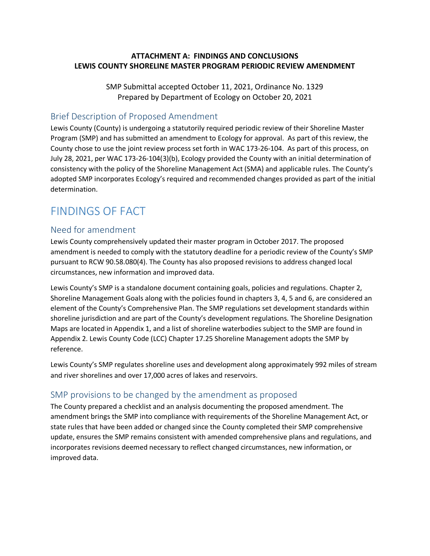### **ATTACHMENT A: FINDINGS AND CONCLUSIONS LEWIS COUNTY SHORELINE MASTER PROGRAM PERIODIC REVIEW AMENDMENT**

SMP Submittal accepted October 11, 2021, Ordinance No. 1329 Prepared by Department of Ecology on October 20, 2021

### Brief Description of Proposed Amendment

Lewis County (County) is undergoing a statutorily required periodic review of their Shoreline Master Program (SMP) and has submitted an amendment to Ecology for approval. As part of this review, the County chose to use the joint review process set forth in WAC 173-26-104. As part of this process, on July 28, 2021, per WAC 173-26-104(3)(b), Ecology provided the County with an initial determination of consistency with the policy of the Shoreline Management Act (SMA) and applicable rules. The County's adopted SMP incorporates Ecology's required and recommended changes provided as part of the initial determination.

# FINDINGS OF FACT

### Need for amendment

Lewis County comprehensively updated their master program in October 2017. The proposed amendment is needed to comply with the statutory deadline for a periodic review of the County's SMP pursuant to RCW 90.58.080(4). The County has also proposed revisions to address changed local circumstances, new information and improved data.

Lewis County's SMP is a standalone document containing goals, policies and regulations. Chapter 2, Shoreline Management Goals along with the policies found in chapters 3, 4, 5 and 6, are considered an element of the County's Comprehensive Plan. The SMP regulations set development standards within shoreline jurisdiction and are part of the County's development regulations. The Shoreline Designation Maps are located in Appendix 1, and a list of shoreline waterbodies subject to the SMP are found in Appendix 2. Lewis County Code (LCC) Chapter 17.25 Shoreline Management adopts the SMP by reference.

Lewis County's SMP regulates shoreline uses and development along approximately 992 miles of stream and river shorelines and over 17,000 acres of lakes and reservoirs.

### SMP provisions to be changed by the amendment as proposed

The County prepared a checklist and an analysis documenting the proposed amendment. The amendment brings the SMP into compliance with requirements of the Shoreline Management Act, or state rules that have been added or changed since the County completed their SMP comprehensive update, ensures the SMP remains consistent with amended comprehensive plans and regulations, and incorporates revisions deemed necessary to reflect changed circumstances, new information, or improved data.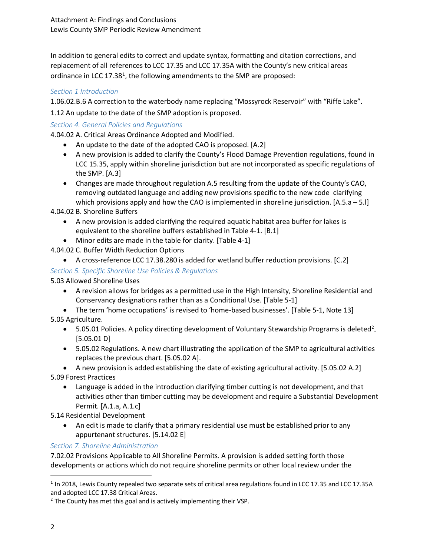In addition to general edits to correct and update syntax, formatting and citation corrections, and replacement of all references to LCC 17.35 and LCC 17.35A with the County's new critical areas ordinance in LCC 17.38<sup>1</sup>, the following amendments to the SMP are proposed:

### *Section 1 Introduction*

1.06.02.B.6 A correction to the waterbody name replacing "Mossyrock Reservoir" with "Riffe Lake".

1.12 An update to the date of the SMP adoption is proposed.

### *Section 4. General Policies and Regulations*

4.04.02 A. Critical Areas Ordinance Adopted and Modified.

- An update to the date of the adopted CAO is proposed. [A.2]
- A new provision is added to clarify the County's Flood Damage Prevention regulations, found in LCC 15.35, apply within shoreline jurisdiction but are not incorporated as specific regulations of the SMP. [A.3]
- Changes are made throughout regulation A.5 resulting from the update of the County's CAO, removing outdated language and adding new provisions specific to the new code clarifying which provisions apply and how the CAO is implemented in shoreline jurisdiction. [A.5.a – 5.l]

4.04.02 B. Shoreline Buffers

- A new provision is added clarifying the required aquatic habitat area buffer for lakes is equivalent to the shoreline buffers established in Table 4-1. [B.1]
- Minor edits are made in the table for clarity. [Table 4-1]

4.04.02 C. Buffer Width Reduction Options

• A cross-reference LCC 17.38.280 is added for wetland buffer reduction provisions. [C.2]

### *Section 5. Specific Shoreline Use Policies & Regulations*

5.03 Allowed Shoreline Uses

• A revision allows for bridges as a permitted use in the High Intensity, Shoreline Residential and Conservancy designations rather than as a Conditional Use. [Table 5-1]

• The term 'home occupations' is revised to 'home-based businesses'. [Table 5-1, Note 13] 5.05 Agriculture.

- 5.05.01 Policies. A policy directing development of Voluntary Stewardship Programs is deleted<sup>[2](#page-1-1)</sup>. [5.05.01 D]
- 5.05.02 Regulations. A new chart illustrating the application of the SMP to agricultural activities replaces the previous chart. [5.05.02 A].
- A new provision is added establishing the date of existing agricultural activity. [5.05.02 A.2] 5.09 Forest Practices
	- Language is added in the introduction clarifying timber cutting is not development, and that activities other than timber cutting may be development and require a Substantial Development Permit. [A.1.a, A.1.c]

5.14 Residential Development

• An edit is made to clarify that a primary residential use must be established prior to any appurtenant structures. [5.14.02 E]

*Section 7. Shoreline Administration*

7.02.02 Provisions Applicable to All Shoreline Permits. A provision is added setting forth those developments or actions which do not require shoreline permits or other local review under the

<span id="page-1-0"></span><sup>&</sup>lt;sup>1</sup> In 2018, Lewis County repealed two separate sets of critical area regulations found in LCC 17.35 and LCC 17.35A and adopted LCC 17.38 Critical Areas.

<span id="page-1-1"></span> $2$  The County has met this goal and is actively implementing their VSP.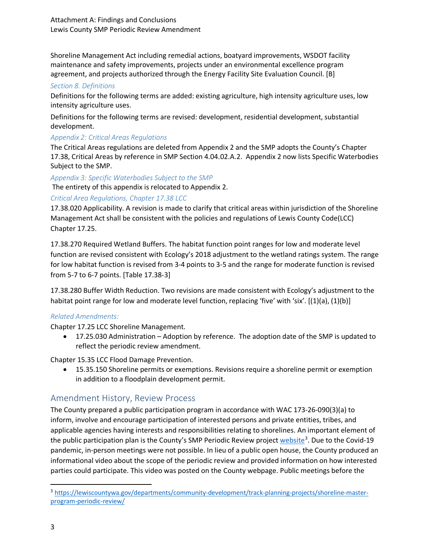Shoreline Management Act including remedial actions, boatyard improvements, WSDOT facility maintenance and safety improvements, projects under an environmental excellence program agreement, and projects authorized through the Energy Facility Site Evaluation Council. [B]

#### *Section 8. Definitions*

Definitions for the following terms are added: existing agriculture, high intensity agriculture uses, low intensity agriculture uses.

Definitions for the following terms are revised: development, residential development, substantial development.

#### *Appendix 2: Critical Areas Regulations*

The Critical Areas regulations are deleted from Appendix 2 and the SMP adopts the County's Chapter 17.38, Critical Areas by reference in SMP Section 4.04.02.A.2. Appendix 2 now lists Specific Waterbodies Subject to the SMP.

*Appendix 3: Specific Waterbodies Subject to the SMP*

The entirety of this appendix is relocated to Appendix 2.

### *Critical Area Regulations, Chapter 17.38 LCC*

17.38.020 Applicability. A revision is made to clarify that critical areas within jurisdiction of the Shoreline Management Act shall be consistent with the policies and regulations of Lewis County Code(LCC) Chapter 17.25.

17.38.270 Required Wetland Buffers. The habitat function point ranges for low and moderate level function are revised consistent with Ecology's 2018 adjustment to the wetland ratings system. The range for low habitat function is revised from 3-4 points to 3-5 and the range for moderate function is revised from 5-7 to 6-7 points. [Table 17.38-3]

17.38.280 Buffer Width Reduction. Two revisions are made consistent with Ecology's adjustment to the habitat point range for low and moderate level function, replacing 'five' with 'six'. [(1)(a), (1)(b)]

#### *Related Amendments:*

Chapter 17.25 LCC Shoreline Management.

• 17.25.030 Administration – Adoption by reference. The adoption date of the SMP is updated to reflect the periodic review amendment.

Chapter 15.35 LCC Flood Damage Prevention.

• 15.35.150 Shoreline permits or exemptions. Revisions require a shoreline permit or exemption in addition to a floodplain development permit.

### Amendment History, Review Process

The County prepared a public participation program in accordance with WAC 173-26-090(3)(a) to inform, involve and encourage participation of interested persons and private entities, tribes, and applicable agencies having interests and responsibilities relating to shorelines. An important element of the public participation plan is the County's SMP Periodic Review project [website](https://lewiscountywa.gov/departments/community-development/track-planning-projects/shoreline-master-program-periodic-review/)<sup>[3](#page-2-0)</sup>. Due to the Covid-19 pandemic, in-person meetings were not possible. In lieu of a public open house, the County produced an informational video about the scope of the periodic review and provided information on how interested parties could participate. This video was posted on the County webpage. Public meetings before the

<span id="page-2-0"></span> <sup>3</sup> [https://lewiscountywa.gov/departments/community-development/track-planning-projects/shoreline-master](https://lewiscountywa.gov/departments/community-development/track-planning-projects/shoreline-master-program-periodic-review/)[program-periodic-review/](https://lewiscountywa.gov/departments/community-development/track-planning-projects/shoreline-master-program-periodic-review/)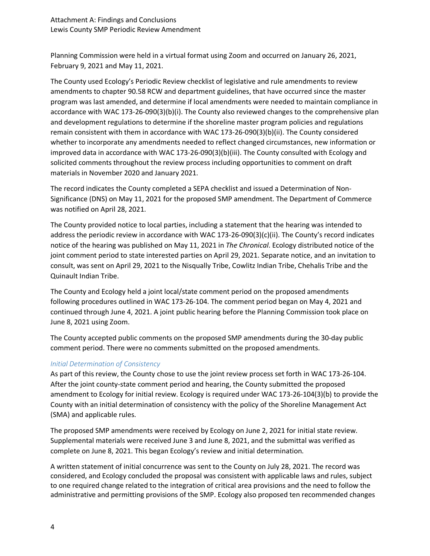Planning Commission were held in a virtual format using Zoom and occurred on January 26, 2021, February 9, 2021 and May 11, 2021.

The County used Ecology's Periodic Review checklist of legislative and rule amendments to review amendments to chapter 90.58 RCW and department guidelines, that have occurred since the master program was last amended, and determine if local amendments were needed to maintain compliance in accordance with WAC 173-26-090(3)(b)(i). The County also reviewed changes to the comprehensive plan and development regulations to determine if the shoreline master program policies and regulations remain consistent with them in accordance with WAC 173-26-090(3)(b)(ii). The County considered whether to incorporate any amendments needed to reflect changed circumstances, new information or improved data in accordance with WAC 173-26-090(3)(b)(iii). The County consulted with Ecology and solicited comments throughout the review process including opportunities to comment on draft materials in November 2020 and January 2021.

The record indicates the County completed a SEPA checklist and issued a Determination of Non-Significance (DNS) on May 11, 2021 for the proposed SMP amendment. The Department of Commerce was notified on April 28, 2021.

The County provided notice to local parties, including a statement that the hearing was intended to address the periodic review in accordance with WAC 173-26-090(3)(c)(ii). The County's record indicates notice of the hearing was published on May 11, 2021 in *The Chronical*. Ecology distributed notice of the joint comment period to state interested parties on April 29, 2021. Separate notice, and an invitation to consult, was sent on April 29, 2021 to the Nisqually Tribe, Cowlitz Indian Tribe, Chehalis Tribe and the Quinault Indian Tribe.

The County and Ecology held a joint local/state comment period on the proposed amendments following procedures outlined in WAC 173-26-104. The comment period began on May 4, 2021 and continued through June 4, 2021. A joint public hearing before the Planning Commission took place on June 8, 2021 using Zoom.

The County accepted public comments on the proposed SMP amendments during the 30-day public comment period. There were no comments submitted on the proposed amendments.

### *Initial Determination of Consistency*

As part of this review, the County chose to use the joint review process set forth in WAC 173-26-104. After the joint county-state comment period and hearing, the County submitted the proposed amendment to Ecology for initial review. Ecology is required under WAC 173-26-104(3)(b) to provide the County with an initial determination of consistency with the policy of the Shoreline Management Act (SMA) and applicable rules.

The proposed SMP amendments were received by Ecology on June 2, 2021 for initial state review. Supplemental materials were received June 3 and June 8, 2021, and the submittal was verified as complete on June 8, 2021. This began Ecology's review and initial determination.

A written statement of initial concurrence was sent to the County on July 28, 2021. The record was considered, and Ecology concluded the proposal was consistent with applicable laws and rules, subject to one required change related to the integration of critical area provisions and the need to follow the administrative and permitting provisions of the SMP. Ecology also proposed ten recommended changes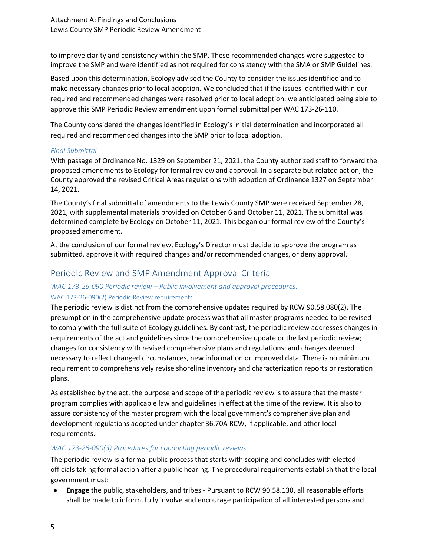to improve clarity and consistency within the SMP. These recommended changes were suggested to improve the SMP and were identified as not required for consistency with the SMA or SMP Guidelines.

Based upon this determination, Ecology advised the County to consider the issues identified and to make necessary changes prior to local adoption. We concluded that if the issues identified within our required and recommended changes were resolved prior to local adoption, we anticipated being able to approve this SMP Periodic Review amendment upon formal submittal per WAC 173-26-110.

The County considered the changes identified in Ecology's initial determination and incorporated all required and recommended changes into the SMP prior to local adoption.

### *Final Submittal*

With passage of Ordinance No. 1329 on September 21, 2021, the County authorized staff to forward the proposed amendments to Ecology for formal review and approval. In a separate but related action, the County approved the revised Critical Areas regulations with adoption of Ordinance 1327 on September 14, 2021.

The County's final submittal of amendments to the Lewis County SMP were received September 28, 2021, with supplemental materials provided on October 6 and October 11, 2021. The submittal was determined complete by Ecology on October 11, 2021. This began our formal review of the County's proposed amendment.

At the conclusion of our formal review, Ecology's Director must decide to approve the program as submitted, approve it with required changes and/or recommended changes, or deny approval.

### Periodic Review and SMP Amendment Approval Criteria

### *WAC 173-26-090 Periodic review – Public involvement and approval procedures.* WAC 173-26-090(2) Periodic Review requirements

The periodic review is distinct from the comprehensive updates required by RCW [90.58.080\(](http://app.leg.wa.gov/RCW/default.aspx?cite=90.58.080)2). The presumption in the comprehensive update process was that all master programs needed to be revised to comply with the full suite of Ecology guidelines. By contrast, the periodic review addresses changes in requirements of the act and guidelines since the comprehensive update or the last periodic review; changes for consistency with revised comprehensive plans and regulations; and changes deemed necessary to reflect changed circumstances, new information or improved data. There is no minimum requirement to comprehensively revise shoreline inventory and characterization reports or restoration plans.

As established by the act, the purpose and scope of the periodic review is to assure that the master program complies with applicable law and guidelines in effect at the time of the review. It is also to assure consistency of the master program with the local government's comprehensive plan and development regulations adopted under chapter 36.70A RCW, if applicable, and other local requirements.

### *WAC 173-26-090(3) Procedures for conducting periodic reviews*

The periodic review is a formal public process that starts with scoping and concludes with elected officials taking formal action after a public hearing. The procedural requirements establish that the local government must:

• **Engage** the public, stakeholders, and tribes - Pursuant to RCW [90.58.130,](http://app.leg.wa.gov/RCW/default.aspx?cite=90.58.130) all reasonable efforts shall be made to inform, fully involve and encourage participation of all interested persons and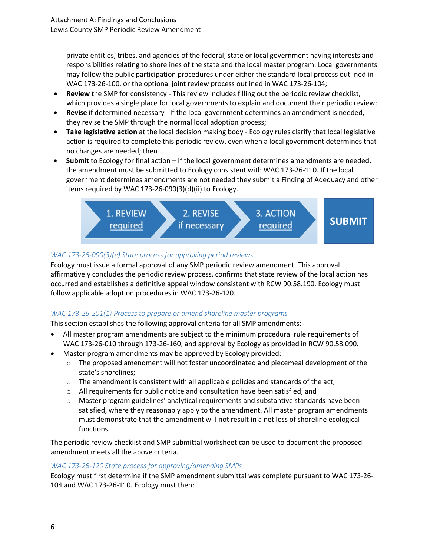private entities, tribes, and agencies of the federal, state or local government having interests and responsibilities relating to shorelines of the state and the local master program. Local governments may follow the public participation procedures under either the standard local process outlined in WAC [173-26-100,](https://apps.leg.wa.gov/WAC/default.aspx?cite=173-26-100) or the optional joint review process outlined in WAC [173-26-104;](https://apps.leg.wa.gov/WAC/default.aspx?cite=173-26-104)

- **Review** the SMP for consistency This review includes filling out the periodic review checklist, which provides a single place for local governments to explain and document their periodic review;
- **Revise** if determined necessary If the local government determines an amendment is needed, they revise the SMP through the normal local adoption process;
- **Take legislative action** at the local decision making body Ecology rules clarify that local legislative action is required to complete this periodic review, even when a local government determines that no changes are needed; then
- **Submit** to Ecology for final action If the local government determines amendments are needed, the amendment must be submitted to Ecology consistent with WAC [173-26-110.](https://apps.leg.wa.gov/WAC/default.aspx?cite=173-26-110) If the local government determines amendments are not needed they submit a Finding of Adequacy and other items required by WAC 173-26-090(3)(d)(ii) to Ecology.



### *WAC 173-26-090(3)(e) State process for approving period reviews*

Ecology must issue a formal approval of any SMP periodic review amendment. This approval affirmatively concludes the periodic review process, confirms that state review of the local action has occurred and establishes a definitive appeal window consistent with RCW [90.58.190.](http://app.leg.wa.gov/RCW/default.aspx?cite=90.58.190) Ecology must follow applicable adoption procedures in WAC 173-26-120.

### *WAC 173-26-201(1) Process to prepare or amend shoreline master programs*

This section establishes the following approval criteria for all SMP amendments:

- All master program amendments are subject to the minimum procedural rule requirements of WAC 173-26-010 through 173-26-160, and approval by Ecology as provided in RCW 90.58.090.
- Master program amendments may be approved by Ecology provided:
	- o The proposed amendment will not foster uncoordinated and piecemeal development of the state's shorelines;
	- $\circ$  The amendment is consistent with all applicable policies and standards of the act;
	- o All requirements for public notice and consultation have been satisfied; and
	- o Master program guidelines' analytical requirements and substantive standards have been satisfied, where they reasonably apply to the amendment. All master program amendments must demonstrate that the amendment will not result in a net loss of shoreline ecological functions.

The periodic review checklist and SMP submittal worksheet can be used to document the proposed amendment meets all the above criteria.

### *WAC 173-26-120 State process for approving/amending SMPs*

Ecology must first determine if the SMP amendment submittal was complete pursuant to WAC 173-26- 104 and WAC 173-26-110. Ecology must then: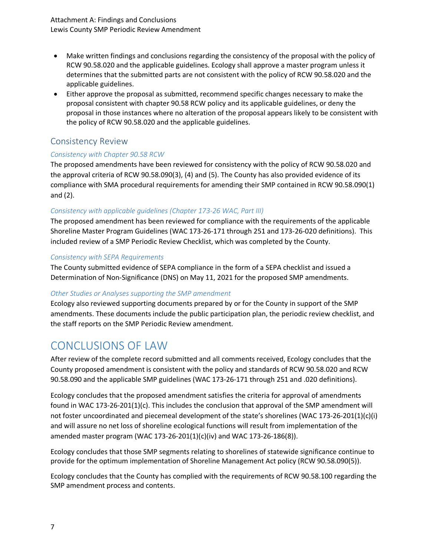Attachment A: Findings and Conclusions Lewis County SMP Periodic Review Amendment

- Make written findings and conclusions regarding the consistency of the proposal with the policy of RCW 90.58.020 and the applicable guidelines. Ecology shall approve a master program unless it determines that the submitted parts are not consistent with the policy of RCW [90.58.020](http://app.leg.wa.gov/RCW/default.aspx?cite=90.58.020) and the applicable guidelines.
- Either approve the proposal as submitted, recommend specific changes necessary to make the proposal consistent with chapter [90.58](http://app.leg.wa.gov/RCW/default.aspx?cite=90.58) RCW policy and its applicable guidelines, or deny the proposal in those instances where no alteration of the proposal appears likely to be consistent with the policy of RCW [90.58.020](http://app.leg.wa.gov/RCW/default.aspx?cite=90.58.020) and the applicable guidelines.

### Consistency Review

### *Consistency with Chapter 90.58 RCW*

The proposed amendments have been reviewed for consistency with the policy of RCW 90.58.020 and the approval criteria of RCW 90.58.090(3), (4) and (5). The County has also provided evidence of its compliance with SMA procedural requirements for amending their SMP contained in RCW 90.58.090(1) and (2).

### *Consistency with applicable guidelines (Chapter 173-26 WAC, Part III)*

The proposed amendment has been reviewed for compliance with the requirements of the applicable Shoreline Master Program Guidelines (WAC 173-26-171 through 251 and 173-26-020 definitions). This included review of a SMP Periodic Review Checklist, which was completed by the County.

#### *Consistency with SEPA Requirements*

The County submitted evidence of SEPA compliance in the form of a SEPA checklist and issued a Determination of Non-Significance (DNS) on May 11, 2021 for the proposed SMP amendments.

### *Other Studies or Analyses supporting the SMP amendment*

Ecology also reviewed supporting documents prepared by or for the County in support of the SMP amendments. These documents include the public participation plan, the periodic review checklist, and the staff reports on the SMP Periodic Review amendment.

## CONCLUSIONS OF LAW

After review of the complete record submitted and all comments received, Ecology concludes that the County proposed amendment is consistent with the policy and standards of RCW 90.58.020 and RCW 90.58.090 and the applicable SMP guidelines (WAC 173-26-171 through 251 and .020 definitions).

Ecology concludes that the proposed amendment satisfies the criteria for approval of amendments found in WAC 173-26-201(1)(c). This includes the conclusion that approval of the SMP amendment will not foster uncoordinated and piecemeal development of the state's shorelines (WAC 173-26-201(1)(c)(i) and will assure no net loss of shoreline ecological functions will result from implementation of the amended master program (WAC 173-26-201(1)(c)(iv) and WAC 173-26-186(8)).

Ecology concludes that those SMP segments relating to shorelines of statewide significance continue to provide for the optimum implementation of Shoreline Management Act policy (RCW 90.58.090(5)).

Ecology concludes that the County has complied with the requirements of RCW 90.58.100 regarding the SMP amendment process and contents.